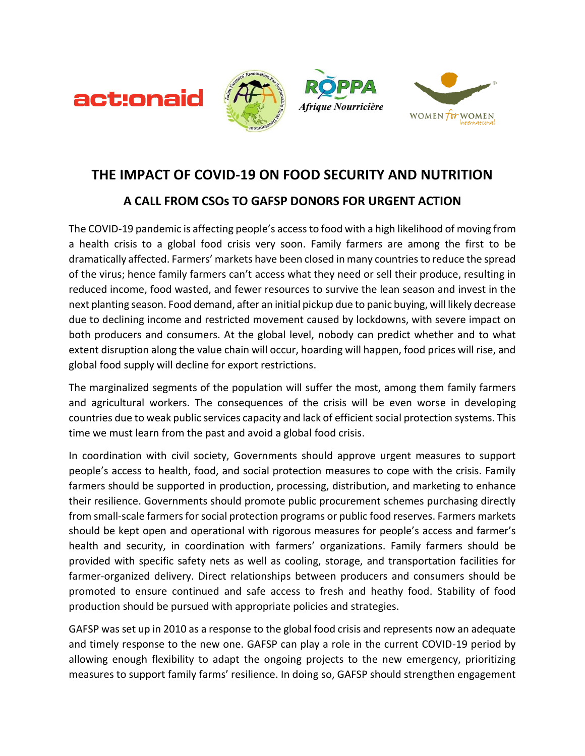







## **THE IMPACT OF COVID-19 ON FOOD SECURITY AND NUTRITION**

## **A CALL FROM CSOs TO GAFSP DONORS FOR URGENT ACTION**

The COVID-19 pandemic is affecting people's access to food with a high likelihood of moving from a health crisis to a global food crisis very soon. Family farmers are among the first to be dramatically affected. Farmers' markets have been closed in many countries to reduce the spread of the virus; hence family farmers can't access what they need or sell their produce, resulting in reduced income, food wasted, and fewer resources to survive the lean season and invest in the next planting season. Food demand, after an initial pickup due to panic buying, will likely decrease due to declining income and restricted movement caused by lockdowns, with severe impact on both producers and consumers. At the global level, nobody can predict whether and to what extent disruption along the value chain will occur, hoarding will happen, food prices will rise, and global food supply will decline for export restrictions.

The marginalized segments of the population will suffer the most, among them family farmers and agricultural workers. The consequences of the crisis will be even worse in developing countries due to weak public services capacity and lack of efficient social protection systems. This time we must learn from the past and avoid a global food crisis.

In coordination with civil society, Governments should approve urgent measures to support people's access to health, food, and social protection measures to cope with the crisis. Family farmers should be supported in production, processing, distribution, and marketing to enhance their resilience. Governments should promote public procurement schemes purchasing directly from small-scale farmers for social protection programs or public food reserves. Farmers markets should be kept open and operational with rigorous measures for people's access and farmer's health and security, in coordination with farmers' organizations. Family farmers should be provided with specific safety nets as well as cooling, storage, and transportation facilities for farmer-organized delivery. Direct relationships between producers and consumers should be promoted to ensure continued and safe access to fresh and heathy food. Stability of food production should be pursued with appropriate policies and strategies.

GAFSP was set up in 2010 as a response to the global food crisis and represents now an adequate and timely response to the new one. GAFSP can play a role in the current COVID-19 period by allowing enough flexibility to adapt the ongoing projects to the new emergency, prioritizing measures to support family farms' resilience. In doing so, GAFSP should strengthen engagement